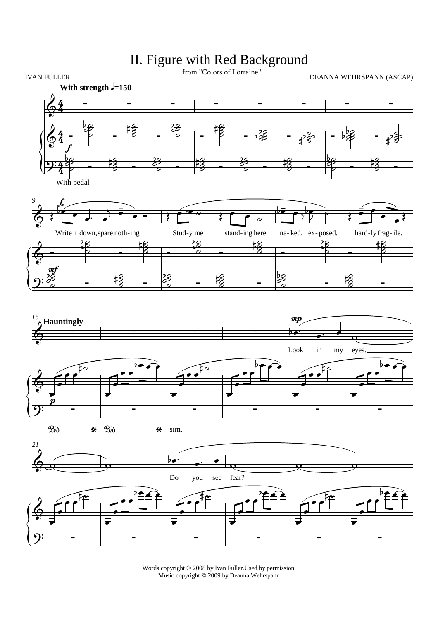

II. Figure with Red Background

Words copyright © 2008 by Ivan Fuller.Used by permission. Music copyright © 2009 by Deanna Wehrspann